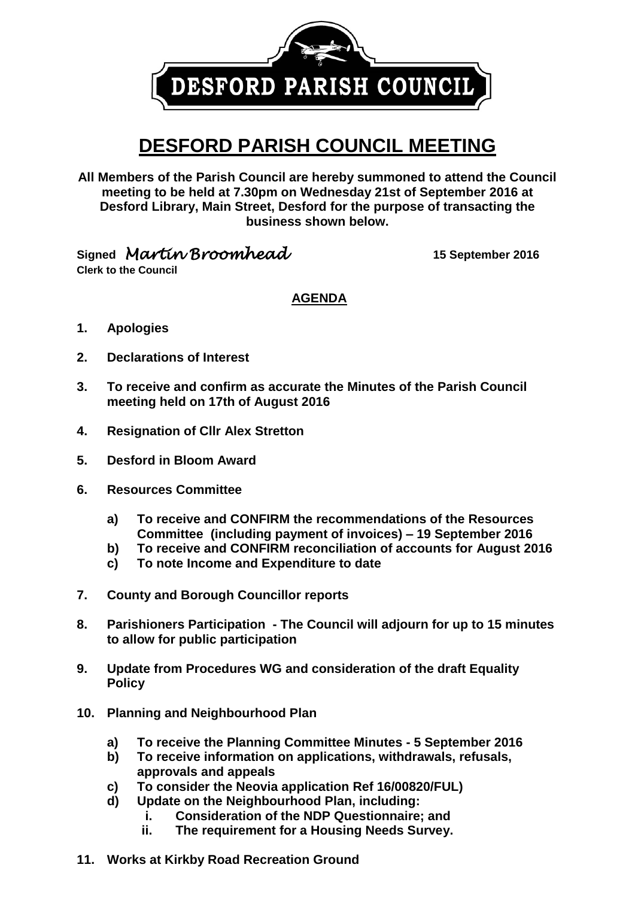DESFORD PARISH COUNCIL

## **DESFORD PARISH COUNCIL MEETING**

**All Members of the Parish Council are hereby summoned to attend the Council meeting to be held at 7.30pm on Wednesday 21st of September 2016 at Desford Library, Main Street, Desford for the purpose of transacting the business shown below.**

**Signed** *Martin Broomhead* **15 September <sup>2016</sup>**

**Clerk to the Council**

**AGENDA**

- **1. Apologies**
- **2. Declarations of Interest**
- **3. To receive and confirm as accurate the Minutes of the Parish Council meeting held on 17th of August 2016**
- **4. Resignation of Cllr Alex Stretton**
- **5. Desford in Bloom Award**
- **6. Resources Committee**
	- **a) To receive and CONFIRM the recommendations of the Resources Committee (including payment of invoices) – 19 September 2016**
	- **b) To receive and CONFIRM reconciliation of accounts for August 2016**
	- **c) To note Income and Expenditure to date**
- **7. County and Borough Councillor reports**
- **8. Parishioners Participation - The Council will adjourn for up to 15 minutes to allow for public participation**
- **9. Update from Procedures WG and consideration of the draft Equality Policy**
- **10. Planning and Neighbourhood Plan**
	- **a) To receive the Planning Committee Minutes - 5 September 2016**
	- **b) To receive information on applications, withdrawals, refusals, approvals and appeals**
	- **c) To consider the Neovia application Ref 16/00820/FUL)**
	- **d) Update on the Neighbourhood Plan, including:** 
		- **i. Consideration of the NDP Questionnaire; and**
		- **ii. The requirement for a Housing Needs Survey.**
- **11. Works at Kirkby Road Recreation Ground**